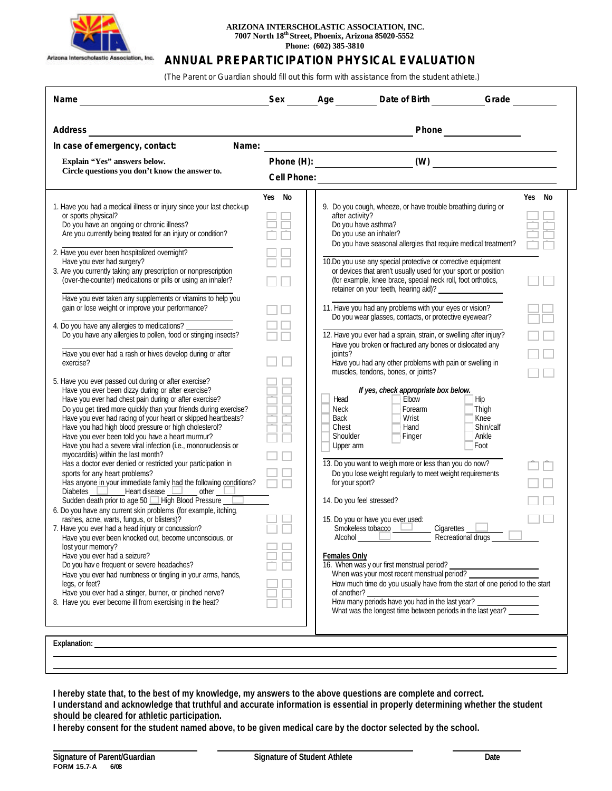

## **ARIZONA INTERSCHOLASTIC ASSOCIATION, INC. 7007 North 18th Street, Phoenix, Arizona 85020-5552 Phone: (602) 385-3810**

## **ANNUAL PREPARTICIPATION PHYSICAL EVALUATION**

 *(The Parent or Guardian should fill out this form with assistance from the student athlete.)*

| Name                                                                                                                                                                                                                                                                                                                                                                                                                                                                                                                            |        |                                                               |                                                                                                                                                                                                                                                 |                                                    |        |
|---------------------------------------------------------------------------------------------------------------------------------------------------------------------------------------------------------------------------------------------------------------------------------------------------------------------------------------------------------------------------------------------------------------------------------------------------------------------------------------------------------------------------------|--------|---------------------------------------------------------------|-------------------------------------------------------------------------------------------------------------------------------------------------------------------------------------------------------------------------------------------------|----------------------------------------------------|--------|
| Address                                                                                                                                                                                                                                                                                                                                                                                                                                                                                                                         |        |                                                               |                                                                                                                                                                                                                                                 | Phone                                              |        |
| Name:<br>In case of emergency, contact:                                                                                                                                                                                                                                                                                                                                                                                                                                                                                         |        |                                                               | <u> 1980 - Johann Barn, mars ann an t-Amhain Aonaich an t-Aonaich an t-Aonaich an t-Aonaich an t-Aonaich an t-Aon</u>                                                                                                                           |                                                    |        |
| Explain "Yes" answers below.<br>Circle questions you don't know the answer to.                                                                                                                                                                                                                                                                                                                                                                                                                                                  |        |                                                               |                                                                                                                                                                                                                                                 |                                                    |        |
| 1. Have you had a medical illness or injury since your last check-up<br>or sports physical?<br>Do you have an ongoing or chronic illness?<br>Are you currently being treated for an injury or condition?<br>2. Have you ever been hospitalized overnight?<br>Have you ever had surgery?                                                                                                                                                                                                                                         | Yes No | after activity?                                               | 9. Do you cough, wheeze, or have trouble breathing during or<br>Do you have asthma?<br>Do you use an inhaler?<br>Do you have seasonal allergies that require medical treatment?<br>10.Do you use any special protective or corrective equipment |                                                    | Yes No |
| 3. Are you currently taking any prescription or nonprescription<br>(over-the-counter) medications or pills or using an inhaler?                                                                                                                                                                                                                                                                                                                                                                                                 |        |                                                               | or devices that aren't usually used for your sport or position<br>(for example, knee brace, special neck roll, foot orthotics,<br>retainer on your teeth, hearing aid)? ___________________                                                     |                                                    |        |
| Have you ever taken any supplements or vitamins to help you<br>gain or lose weight or improve your performance?<br>4. Do you have any allergies to medications?                                                                                                                                                                                                                                                                                                                                                                 |        |                                                               | 11. Have you had any problems with your eyes or vision?<br>Do you wear glasses, contacts, or protective eyewear?                                                                                                                                |                                                    |        |
| Do you have any allergies to pollen, food or stinging insects?<br>Have you ever had a rash or hives develop during or after<br>exercise?                                                                                                                                                                                                                                                                                                                                                                                        |        | ioints?                                                       | 12. Have you ever had a sprain, strain, or swelling after injury?<br>Have you broken or fractured any bones or dislocated any<br>Have you had any other problems with pain or swelling in<br>muscles, tendons, bones, or joints?                |                                                    |        |
| 5. Have you ever passed out during or after exercise?<br>Have you ever been dizzy during or after exercise?<br>Have you ever had chest pain during or after exercise?<br>Do you get tired more quickly than your friends during exercise?<br>Have you ever had racing of your heart or skipped heartbeats?<br>Have you had high blood pressure or high cholesterol?<br>Have you ever been told you have a heart murmur?<br>Have you had a severe viral infection (i.e., mononucleosis or<br>myocarditis) within the last month? |        | Head<br><b>Neck</b><br>Back<br>Chest<br>Shoulder<br>Upper arm | If yes, check appropriate box below.<br>Elbow<br>Forearm<br>Wrist<br>Hand<br>Finger                                                                                                                                                             | Hip<br>Thigh<br>Knee<br>Shin/calf<br>Ankle<br>Foot |        |
| Has a doctor ever denied or restricted your participation in<br>sports for any heart problems?<br>Has anyone in your immediate family had the following conditions?<br>Diabetes $\Box$ Heart disease $\Box$ other $\Box$                                                                                                                                                                                                                                                                                                        |        | for your sport?                                               | 13. Do you want to weigh more or less than you do now?<br>Do you lose weight regularly to meet weight requirements                                                                                                                              |                                                    |        |
| Sudden death prior to age 50 High Blood Pressure<br>6. Do you have any current skin problems (for example, itching,<br>rashes, acne, warts, fungus, or blisters)?<br>7. Have you ever had a head injury or concussion?<br>Have you ever been knocked out, become unconscious, or                                                                                                                                                                                                                                                |        | 14. Do you feel stressed?                                     | 15. Do you or have you ever used:<br>Smokeless tobacco<br>Cigarettes<br>Alcohol <u>The Contract of</u>                                                                                                                                          | Recreational drugs_                                |        |
| lost your memory?<br>Have you ever had a seizure?<br>Do you have frequent or severe headaches?<br>Have you ever had numbness or tingling in your arms, hands,<br>legs, or feet?<br>Have you ever had a stinger, burner, or pinched nerve?                                                                                                                                                                                                                                                                                       |        | <b>Females Only</b><br>of another?                            | 16. When was y our first menstrual period?<br>How much time do you usually have from the start of one period to the start<br>of another?<br>How many periods have you had in the last year? ______________                                      |                                                    |        |
| 8. Have you ever become ill from exercising in the heat?                                                                                                                                                                                                                                                                                                                                                                                                                                                                        |        |                                                               | What was the longest time between periods in the last year?                                                                                                                                                                                     |                                                    |        |

**I hereby state that, to the best of my knowledge, my answers to the above questions are complete and correct. I understand and acknowledge that truthful and accurate information is essential in properly determining whether the student should be cleared for athletic participation.** 

**I hereby consent for the student named above, to be given medical care by the doctor selected by the school.**

l